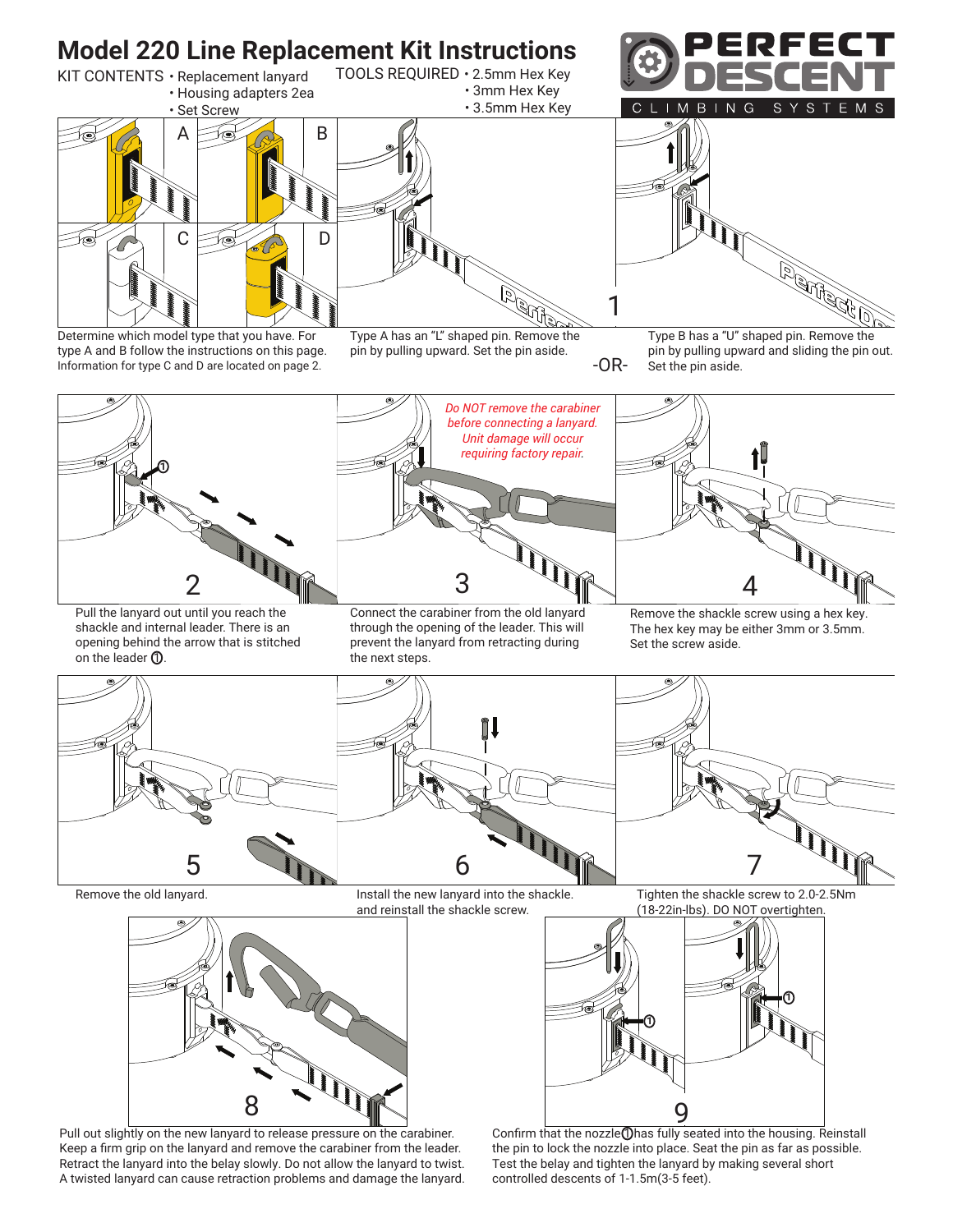



Pull out slightly on the new lanyard to release pressure on the carabiner. Keep a firm grip on the lanyard and remove the carabiner from the leader. Retract the lanyard into the belay slowly. Do not allow the lanyard to twist. A twisted lanyard can cause retraction problems and damage the lanyard.

Confirm that the nozzle 1 has fully seated into the housing. Reinstall the pin to lock the nozzle into place. Seat the pin as far as possible. Test the belay and tighten the lanyard by making several short controlled descents of 1-1.5m(3-5 feet).

1

1